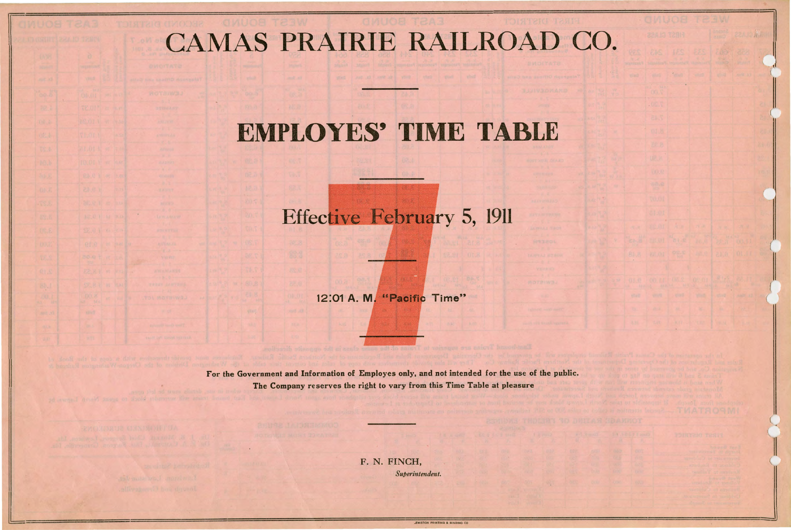## CAMAS PRAIRIE RAILROAD CO.

## **EMPLOYES'. TIME TABLE**

## Effective February 5, 1911

12:01 A. M. "Pacific Time"

F. N. FINCH, Superintendent.

LEWISTON PRINTING & BINDING CO

For the Government and Information of Employes only, and not intended for the use of the public. The Company reserves the right to vary from this Time Table at pleasure